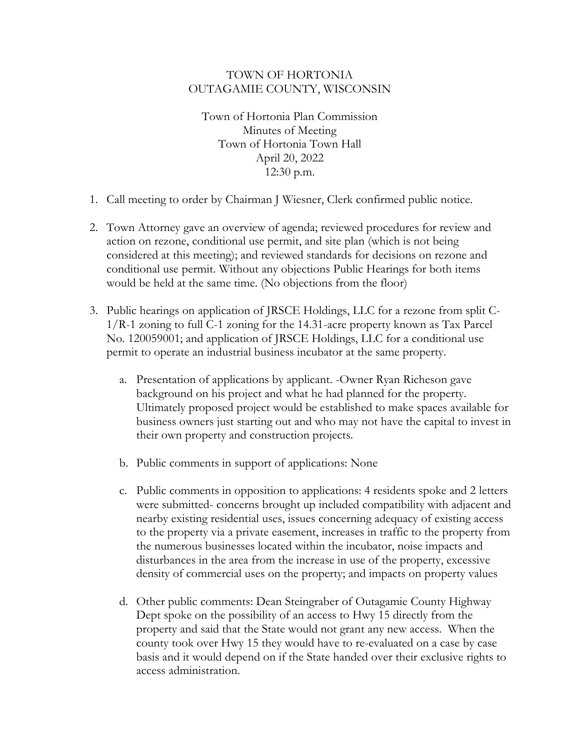## TOWN OF HORTONIA OUTAGAMIE COUNTY, WISCONSIN

Town of Hortonia Plan Commission Minutes of Meeting Town of Hortonia Town Hall April 20, 2022 12:30 p.m.

- 1. Call meeting to order by Chairman J Wiesner, Clerk confirmed public notice.
- 2. Town Attorney gave an overview of agenda; reviewed procedures for review and action on rezone, conditional use permit, and site plan (which is not being considered at this meeting); and reviewed standards for decisions on rezone and conditional use permit. Without any objections Public Hearings for both items would be held at the same time. (No objections from the floor)
- 3. Public hearings on application of JRSCE Holdings, LLC for a rezone from split C-1/R-1 zoning to full C-1 zoning for the 14.31-acre property known as Tax Parcel No. 120059001; and application of JRSCE Holdings, LLC for a conditional use permit to operate an industrial business incubator at the same property.
	- a. Presentation of applications by applicant. -Owner Ryan Richeson gave background on his project and what he had planned for the property. Ultimately proposed project would be established to make spaces available for business owners just starting out and who may not have the capital to invest in their own property and construction projects.
	- b. Public comments in support of applications: None
	- c. Public comments in opposition to applications: 4 residents spoke and 2 letters were submitted- concerns brought up included compatibility with adjacent and nearby existing residential uses, issues concerning adequacy of existing access to the property via a private easement, increases in traffic to the property from the numerous businesses located within the incubator, noise impacts and disturbances in the area from the increase in use of the property, excessive density of commercial uses on the property; and impacts on property values
	- d. Other public comments: Dean Steingraber of Outagamie County Highway Dept spoke on the possibility of an access to Hwy 15 directly from the property and said that the State would not grant any new access. When the county took over Hwy 15 they would have to re-evaluated on a case by case basis and it would depend on if the State handed over their exclusive rights to access administration.